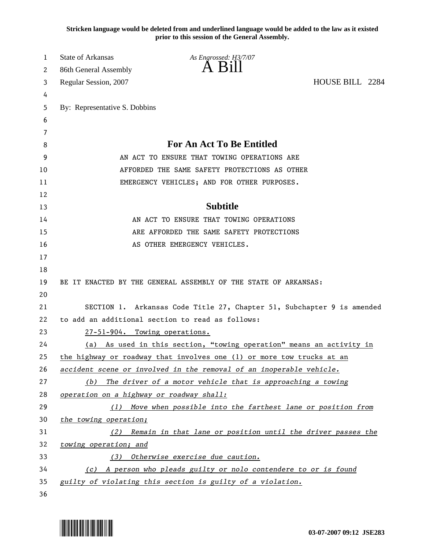**Stricken language would be deleted from and underlined language would be added to the law as it existed prior to this session of the General Assembly.**

| 1  | <b>State of Arkansas</b>                                         | As Engrossed: H3/7/07                                                  |                 |  |
|----|------------------------------------------------------------------|------------------------------------------------------------------------|-----------------|--|
| 2  | 86th General Assembly                                            | $\overline{A}$ $\overline{B}1$                                         |                 |  |
| 3  | Regular Session, 2007                                            |                                                                        | HOUSE BILL 2284 |  |
| 4  |                                                                  |                                                                        |                 |  |
| 5  | By: Representative S. Dobbins                                    |                                                                        |                 |  |
| 6  |                                                                  |                                                                        |                 |  |
| 7  |                                                                  |                                                                        |                 |  |
| 8  | For An Act To Be Entitled                                        |                                                                        |                 |  |
| 9  | AN ACT TO ENSURE THAT TOWING OPERATIONS ARE                      |                                                                        |                 |  |
| 10 | AFFORDED THE SAME SAFETY PROTECTIONS AS OTHER                    |                                                                        |                 |  |
| 11 |                                                                  | EMERGENCY VEHICLES; AND FOR OTHER PURPOSES.                            |                 |  |
| 12 |                                                                  |                                                                        |                 |  |
| 13 |                                                                  | <b>Subtitle</b>                                                        |                 |  |
| 14 |                                                                  | AN ACT TO ENSURE THAT TOWING OPERATIONS                                |                 |  |
| 15 | ARE AFFORDED THE SAME SAFETY PROTECTIONS                         |                                                                        |                 |  |
| 16 |                                                                  | AS OTHER EMERGENCY VEHICLES.                                           |                 |  |
| 17 |                                                                  |                                                                        |                 |  |
| 18 |                                                                  |                                                                        |                 |  |
| 19 |                                                                  | BE IT ENACTED BY THE GENERAL ASSEMBLY OF THE STATE OF ARKANSAS:        |                 |  |
| 20 |                                                                  |                                                                        |                 |  |
| 21 |                                                                  | SECTION 1. Arkansas Code Title 27, Chapter 51, Subchapter 9 is amended |                 |  |
| 22 | to add an additional section to read as follows:                 |                                                                        |                 |  |
| 23 | 27-51-904. Towing operations.                                    |                                                                        |                 |  |
| 24 |                                                                  | (a) As used in this section, "towing operation" means an activity in   |                 |  |
| 25 |                                                                  | the highway or roadway that involves one (1) or more tow trucks at an  |                 |  |
| 26 |                                                                  | accident scene or involved in the removal of an inoperable vehicle.    |                 |  |
| 27 | (b)                                                              | The driver of a motor vehicle that is approaching a towing             |                 |  |
| 28 | operation on a highway or roadway shall:                         |                                                                        |                 |  |
| 29 | (1)                                                              | Move when possible into the farthest lane or position from             |                 |  |
| 30 | the towing operation;                                            |                                                                        |                 |  |
| 31 | (2)                                                              | Remain in that lane or position until the driver passes the            |                 |  |
| 32 | towing operation; and                                            |                                                                        |                 |  |
| 33 | Otherwise exercise due caution.<br>(3)                           |                                                                        |                 |  |
| 34 | (c) A person who pleads guilty or nolo contendere to or is found |                                                                        |                 |  |
| 35 |                                                                  | guilty of violating this section is guilty of a violation.             |                 |  |
| 36 |                                                                  |                                                                        |                 |  |